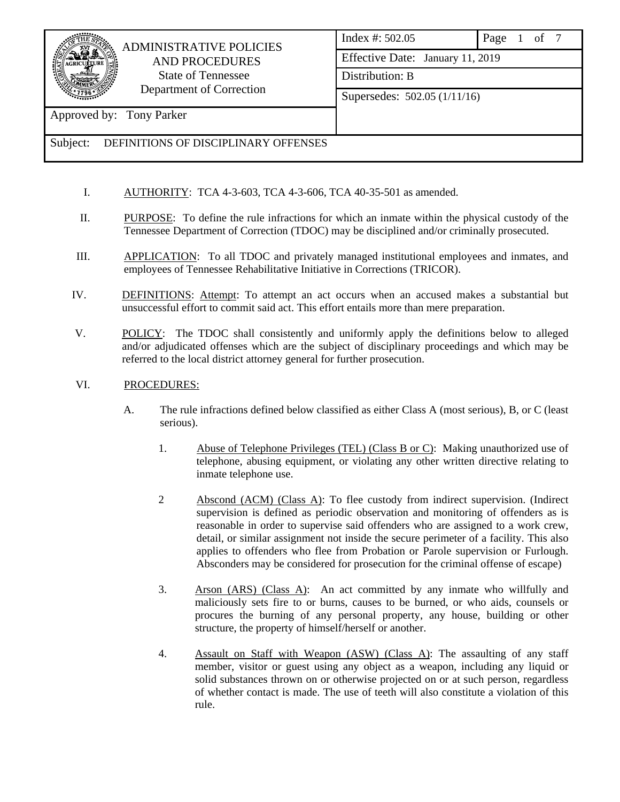## ADMINISTRATIVE POLICIES AND PROCEDURES State of Tennessee Department of Correction

Index #: 502.05 Page 1 of 7 Effective Date: January 11, 2019 Distribution: B Supersedes: 502.05 (1/11/16)

Approved by: Tony Parker

- I. AUTHORITY: TCA 4-3-603, TCA 4-3-606, TCA 40-35-501 as amended.
- II. PURPOSE: To define the rule infractions for which an inmate within the physical custody of the Tennessee Department of Correction (TDOC) may be disciplined and/or criminally prosecuted.
- III. APPLICATION: To all TDOC and privately managed institutional employees and inmates, and employees of Tennessee Rehabilitative Initiative in Corrections (TRICOR).
- IV. DEFINITIONS: Attempt: To attempt an act occurs when an accused makes a substantial but unsuccessful effort to commit said act. This effort entails more than mere preparation.
- V. POLICY: The TDOC shall consistently and uniformly apply the definitions below to alleged and/or adjudicated offenses which are the subject of disciplinary proceedings and which may be referred to the local district attorney general for further prosecution.
- VI. PROCEDURES:
	- A. The rule infractions defined below classified as either Class A (most serious), B, or C (least serious).
		- 1. Abuse of Telephone Privileges (TEL) (Class B or C): Making unauthorized use of telephone, abusing equipment, or violating any other written directive relating to inmate telephone use.
		- 2 Abscond (ACM) (Class A): To flee custody from indirect supervision. (Indirect supervision is defined as periodic observation and monitoring of offenders as is reasonable in order to supervise said offenders who are assigned to a work crew, detail, or similar assignment not inside the secure perimeter of a facility. This also applies to offenders who flee from Probation or Parole supervision or Furlough. Absconders may be considered for prosecution for the criminal offense of escape)
		- 3. Arson (ARS) (Class A): An act committed by any inmate who willfully and maliciously sets fire to or burns, causes to be burned, or who aids, counsels or procures the burning of any personal property, any house, building or other structure, the property of himself/herself or another.
		- 4. Assault on Staff with Weapon (ASW) (Class A): The assaulting of any staff member, visitor or guest using any object as a weapon, including any liquid or solid substances thrown on or otherwise projected on or at such person, regardless of whether contact is made. The use of teeth will also constitute a violation of this rule.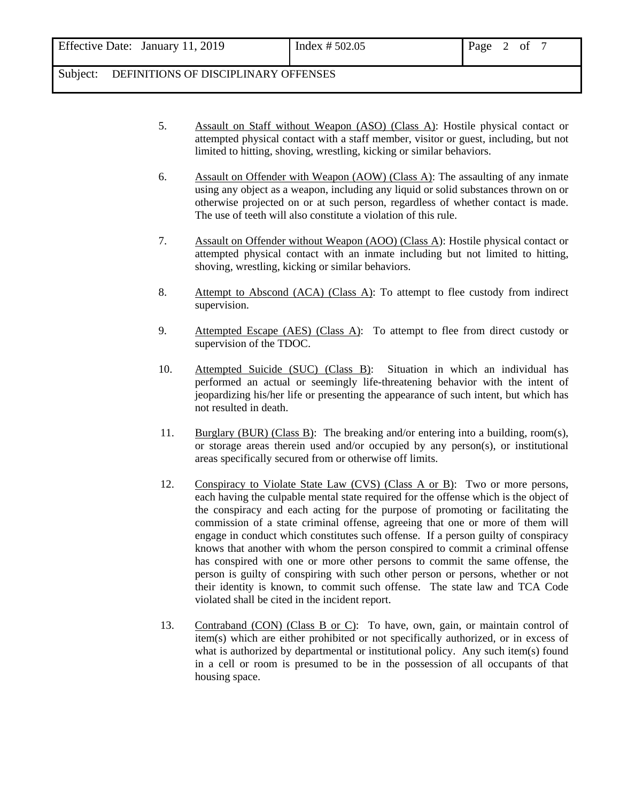- 5. Assault on Staff without Weapon (ASO) (Class A): Hostile physical contact or attempted physical contact with a staff member, visitor or guest, including, but not limited to hitting, shoving, wrestling, kicking or similar behaviors.
- 6. Assault on Offender with Weapon (AOW) (Class A): The assaulting of any inmate using any object as a weapon, including any liquid or solid substances thrown on or otherwise projected on or at such person, regardless of whether contact is made. The use of teeth will also constitute a violation of this rule.
- 7. Assault on Offender without Weapon (AOO) (Class A): Hostile physical contact or attempted physical contact with an inmate including but not limited to hitting, shoving, wrestling, kicking or similar behaviors.
- 8. Attempt to Abscond (ACA) (Class A): To attempt to flee custody from indirect supervision.
- 9. Attempted Escape (AES) (Class A): To attempt to flee from direct custody or supervision of the TDOC.
- 10. Attempted Suicide (SUC) (Class B): Situation in which an individual has performed an actual or seemingly life-threatening behavior with the intent of jeopardizing his/her life or presenting the appearance of such intent, but which has not resulted in death.
- 11. Burglary (BUR) (Class B): The breaking and/or entering into a building, room(s), or storage areas therein used and/or occupied by any person(s), or institutional areas specifically secured from or otherwise off limits.
- 12. Conspiracy to Violate State Law (CVS) (Class A or B): Two or more persons, each having the culpable mental state required for the offense which is the object of the conspiracy and each acting for the purpose of promoting or facilitating the commission of a state criminal offense, agreeing that one or more of them will engage in conduct which constitutes such offense. If a person guilty of conspiracy knows that another with whom the person conspired to commit a criminal offense has conspired with one or more other persons to commit the same offense, the person is guilty of conspiring with such other person or persons, whether or not their identity is known, to commit such offense. The state law and TCA Code violated shall be cited in the incident report.
- 13. Contraband (CON) (Class B or C): To have, own, gain, or maintain control of item(s) which are either prohibited or not specifically authorized, or in excess of what is authorized by departmental or institutional policy. Any such item(s) found in a cell or room is presumed to be in the possession of all occupants of that housing space.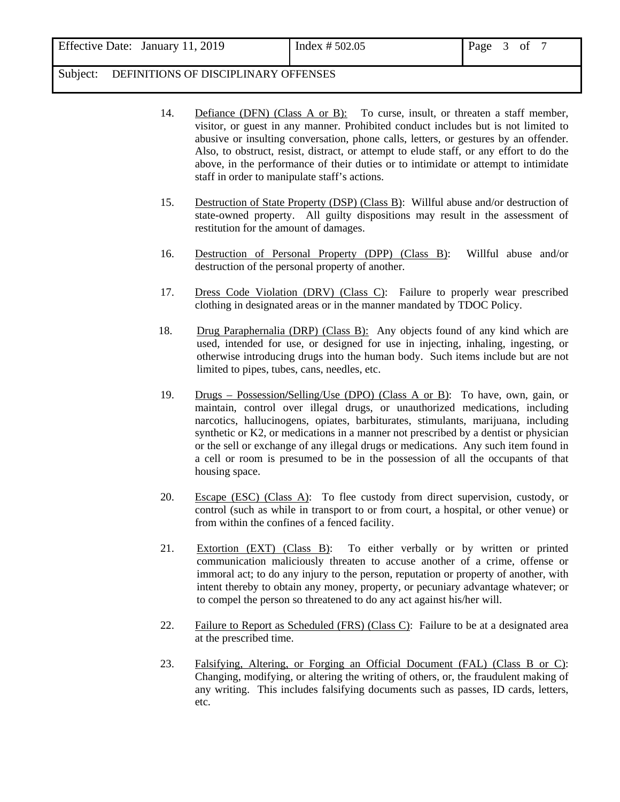| Effective Date: January 11, 2019 | Index # 502.05 | Page 3 of 7 |  |  |  |  |
|----------------------------------|----------------|-------------|--|--|--|--|
|----------------------------------|----------------|-------------|--|--|--|--|

- 14. Defiance (DFN) (Class A or B): To curse, insult, or threaten a staff member, visitor, or guest in any manner. Prohibited conduct includes but is not limited to abusive or insulting conversation, phone calls, letters, or gestures by an offender. Also, to obstruct, resist, distract, or attempt to elude staff, or any effort to do the above, in the performance of their duties or to intimidate or attempt to intimidate staff in order to manipulate staff's actions.
- 15. Destruction of State Property (DSP) (Class B): Willful abuse and/or destruction of state-owned property. All guilty dispositions may result in the assessment of restitution for the amount of damages.
- 16. Destruction of Personal Property (DPP) (Class B): Willful abuse and/or destruction of the personal property of another.
- 17. Dress Code Violation (DRV) (Class C): Failure to properly wear prescribed clothing in designated areas or in the manner mandated by TDOC Policy.
- 18. Drug Paraphernalia (DRP) (Class B): Any objects found of any kind which are used, intended for use, or designed for use in injecting, inhaling, ingesting, or otherwise introducing drugs into the human body. Such items include but are not limited to pipes, tubes, cans, needles, etc.
- 19. Drugs Possession**/**Selling/Use (DPO) (Class A or B): To have, own, gain, or maintain, control over illegal drugs, or unauthorized medications, including narcotics, hallucinogens, opiates, barbiturates, stimulants, marijuana, including synthetic or K2, or medications in a manner not prescribed by a dentist or physician or the sell or exchange of any illegal drugs or medications. Any such item found in a cell or room is presumed to be in the possession of all the occupants of that housing space.
- 20. Escape (ESC) (Class A): To flee custody from direct supervision, custody, or control (such as while in transport to or from court, a hospital, or other venue) or from within the confines of a fenced facility.
- 21. Extortion (EXT) (Class B): To either verbally or by written or printed communication maliciously threaten to accuse another of a crime, offense or immoral act; to do any injury to the person, reputation or property of another, with intent thereby to obtain any money, property, or pecuniary advantage whatever; or to compel the person so threatened to do any act against his/her will.
- 22. Failure to Report as Scheduled (FRS) (Class C): Failure to be at a designated area at the prescribed time.
- 23. Falsifying, Altering, or Forging an Official Document (FAL) (Class B or C): Changing, modifying, or altering the writing of others, or, the fraudulent making of any writing. This includes falsifying documents such as passes, ID cards, letters, etc.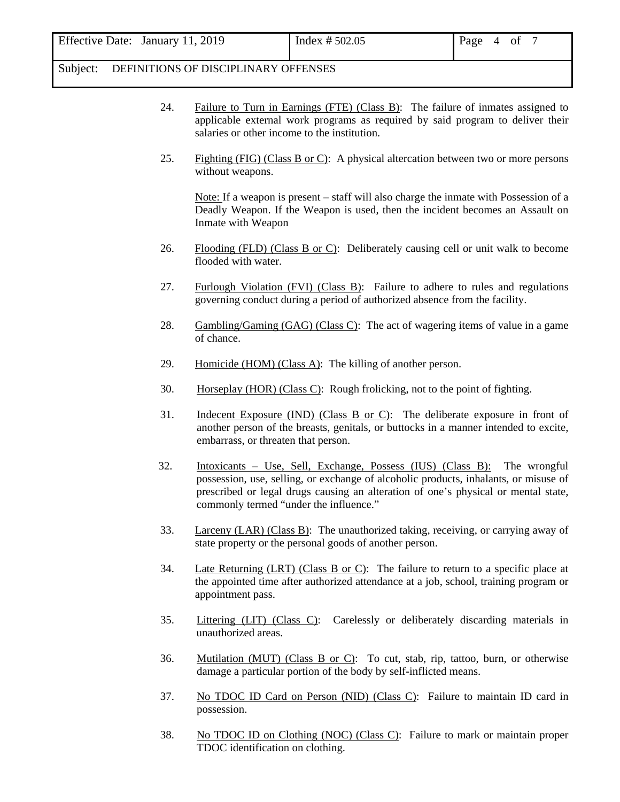- 24. Failure to Turn in Earnings (FTE) (Class B): The failure of inmates assigned to applicable external work programs as required by said program to deliver their salaries or other income to the institution.
- 25. Fighting (FIG) (Class B or C): A physical altercation between two or more persons without weapons.

Note: If a weapon is present – staff will also charge the inmate with Possession of a Deadly Weapon. If the Weapon is used, then the incident becomes an Assault on Inmate with Weapon

- 26. Flooding (FLD) (Class B or C): Deliberately causing cell or unit walk to become flooded with water.
- 27. Furlough Violation (FVI) (Class B): Failure to adhere to rules and regulations governing conduct during a period of authorized absence from the facility.
- 28. Gambling/Gaming (GAG) (Class C): The act of wagering items of value in a game of chance.
- 29. Homicide (HOM) (Class A): The killing of another person.
- 30. Horseplay (HOR) (Class C): Rough frolicking, not to the point of fighting.
- 31. Indecent Exposure (IND) (Class B or C): The deliberate exposure in front of another person of the breasts, genitals, or buttocks in a manner intended to excite, embarrass, or threaten that person.
- 32. Intoxicants Use, Sell, Exchange, Possess (IUS) (Class B): The wrongful possession, use, selling, or exchange of alcoholic products, inhalants, or misuse of prescribed or legal drugs causing an alteration of one's physical or mental state, commonly termed "under the influence."
- 33. Larceny (LAR) (Class B): The unauthorized taking, receiving, or carrying away of state property or the personal goods of another person.
- 34. Late Returning (LRT) (Class B or C): The failure to return to a specific place at the appointed time after authorized attendance at a job, school, training program or appointment pass.
- 35. Littering (LIT) (Class C): Carelessly or deliberately discarding materials in unauthorized areas.
- 36. Mutilation (MUT) (Class B or C): To cut, stab, rip, tattoo, burn, or otherwise damage a particular portion of the body by self-inflicted means.
- 37. No TDOC ID Card on Person (NID) (Class C): Failure to maintain ID card in possession.
- 38. No TDOC ID on Clothing (NOC) (Class C): Failure to mark or maintain proper TDOC identification on clothing.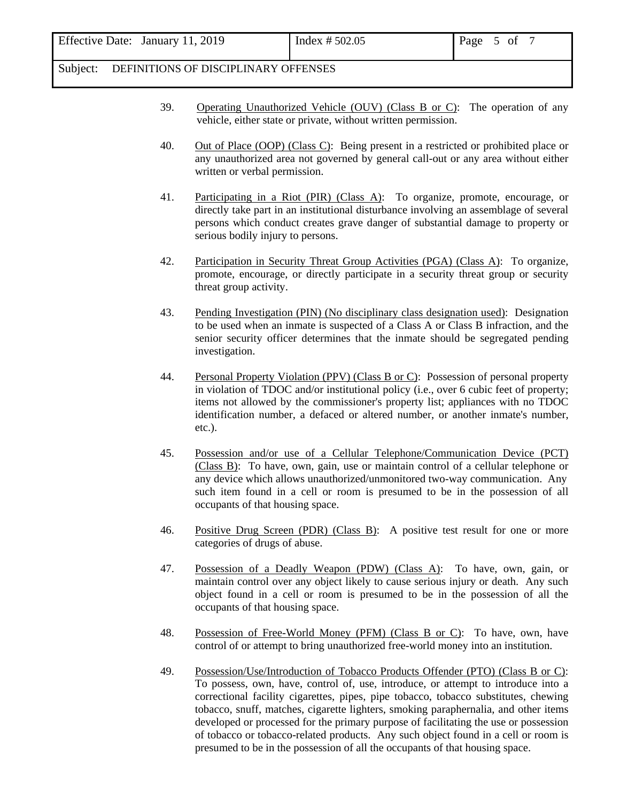- 39. Operating Unauthorized Vehicle (OUV) (Class B or C): The operation of any vehicle, either state or private, without written permission.
- 40. Out of Place (OOP) (Class C): Being present in a restricted or prohibited place or any unauthorized area not governed by general call-out or any area without either written or verbal permission.
- 41. Participating in a Riot (PIR) (Class A): To organize, promote, encourage, or directly take part in an institutional disturbance involving an assemblage of several persons which conduct creates grave danger of substantial damage to property or serious bodily injury to persons.
- 42. Participation in Security Threat Group Activities (PGA) (Class A): To organize, promote, encourage, or directly participate in a security threat group or security threat group activity.
- 43. Pending Investigation (PIN) (No disciplinary class designation used): Designation to be used when an inmate is suspected of a Class A or Class B infraction, and the senior security officer determines that the inmate should be segregated pending investigation.
- 44. Personal Property Violation (PPV) (Class B or C): Possession of personal property in violation of TDOC and/or institutional policy (i.e., over 6 cubic feet of property; items not allowed by the commissioner's property list; appliances with no TDOC identification number, a defaced or altered number, or another inmate's number, etc.).
- 45. Possession and/or use of a Cellular Telephone/Communication Device (PCT) (Class B): To have, own, gain, use or maintain control of a cellular telephone or any device which allows unauthorized/unmonitored two-way communication. Any such item found in a cell or room is presumed to be in the possession of all occupants of that housing space.
- 46. Positive Drug Screen (PDR) (Class B): A positive test result for one or more categories of drugs of abuse.
- 47. Possession of a Deadly Weapon (PDW) (Class A): To have, own, gain, or maintain control over any object likely to cause serious injury or death. Any such object found in a cell or room is presumed to be in the possession of all the occupants of that housing space.
- 48. Possession of Free-World Money (PFM) (Class B or C): To have, own, have control of or attempt to bring unauthorized free-world money into an institution.
- 49. Possession/Use/Introduction of Tobacco Products Offender (PTO) (Class B or C): To possess, own, have, control of, use, introduce, or attempt to introduce into a correctional facility cigarettes, pipes, pipe tobacco, tobacco substitutes, chewing tobacco, snuff, matches, cigarette lighters, smoking paraphernalia, and other items developed or processed for the primary purpose of facilitating the use or possession of tobacco or tobacco-related products. Any such object found in a cell or room is presumed to be in the possession of all the occupants of that housing space.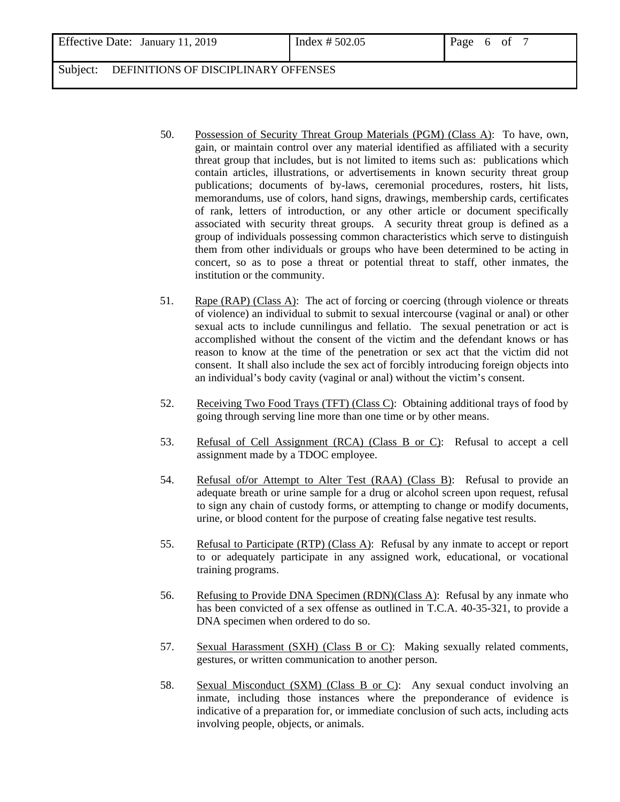- 50. Possession of Security Threat Group Materials (PGM) (Class A): To have, own, gain, or maintain control over any material identified as affiliated with a security threat group that includes, but is not limited to items such as: publications which contain articles, illustrations, or advertisements in known security threat group publications; documents of by-laws, ceremonial procedures, rosters, hit lists, memorandums, use of colors, hand signs, drawings, membership cards, certificates of rank, letters of introduction, or any other article or document specifically associated with security threat groups. A security threat group is defined as a group of individuals possessing common characteristics which serve to distinguish them from other individuals or groups who have been determined to be acting in concert, so as to pose a threat or potential threat to staff, other inmates, the institution or the community.
- 51. Rape (RAP) (Class A): The act of forcing or coercing (through violence or threats of violence) an individual to submit to sexual intercourse (vaginal or anal) or other sexual acts to include cunnilingus and fellatio. The sexual penetration or act is accomplished without the consent of the victim and the defendant knows or has reason to know at the time of the penetration or sex act that the victim did not consent. It shall also include the sex act of forcibly introducing foreign objects into an individual's body cavity (vaginal or anal) without the victim's consent.
- 52. Receiving Two Food Trays (TFT) (Class C): Obtaining additional trays of food by going through serving line more than one time or by other means.
- 53. Refusal of Cell Assignment (RCA) (Class B or C): Refusal to accept a cell assignment made by a TDOC employee.
- 54. Refusal of**/**or Attempt to Alter Test (RAA) (Class B): Refusal to provide an adequate breath or urine sample for a drug or alcohol screen upon request, refusal to sign any chain of custody forms, or attempting to change or modify documents, urine, or blood content for the purpose of creating false negative test results.
- 55. Refusal to Participate (RTP) (Class A): Refusal by any inmate to accept or report to or adequately participate in any assigned work, educational, or vocational training programs.
- 56. Refusing to Provide DNA Specimen (RDN)(Class A): Refusal by any inmate who has been convicted of a sex offense as outlined in T.C.A. 40-35-321, to provide a DNA specimen when ordered to do so.
- 57. Sexual Harassment (SXH) (Class B or C): Making sexually related comments, gestures, or written communication to another person.
- 58. Sexual Misconduct (SXM) (Class B or C): Any sexual conduct involving an inmate, including those instances where the preponderance of evidence is indicative of a preparation for, or immediate conclusion of such acts, including acts involving people, objects, or animals.